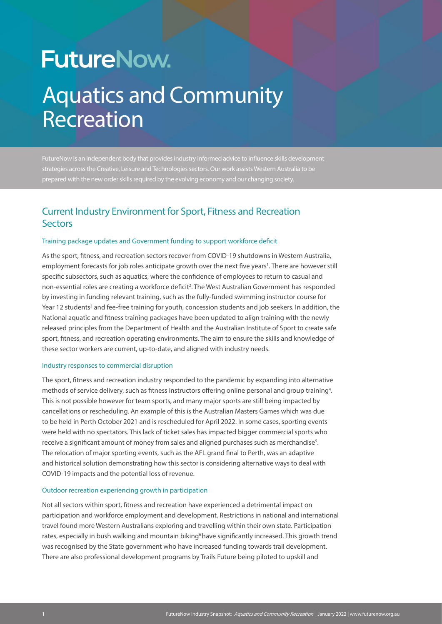# **FutureNow.** Aquatics and Community Recreation

FutureNow is an independent body that provides industry informed advice to influence skills development strategies across the Creative, Leisure and Technologies sectors. Our work assists Western Australia to be prepared with the new order skills required by the evolving economy and our changing society.

# Current Industry Environment for Sport, Fitness and Recreation **Sectors**

#### Training package updates and Government funding to support workforce deficit

As the sport, fitness, and recreation sectors recover from COVID-19 shutdowns in Western Australia, employment forecasts for job roles anticipate growth over the next five years<sup>1</sup>. There are however still specific subsectors, such as aquatics, where the confidence of employees to return to casual and non-essential roles are creating a workforce deficit<sup>2</sup>. The West Australian Government has responded by investing in funding relevant training, such as the fully-funded swimming instructor course for Year 12 students<sup>3</sup> and fee-free training for youth, concession students and job seekers. In addition, the National aquatic and fitness training packages have been updated to align training with the newly released principles from the Department of Health and the Australian Institute of Sport to create safe sport, fitness, and recreation operating environments. The aim to ensure the skills and knowledge of these sector workers are current, up-to-date, and aligned with industry needs.

#### Industry responses to commercial disruption

The sport, fitness and recreation industry responded to the pandemic by expanding into alternative methods of service delivery, such as fitness instructors offering online personal and group training<sup>4</sup>. This is not possible however for team sports, and many major sports are still being impacted by cancellations or rescheduling. An example of this is the Australian Masters Games which was due to be held in Perth October 2021 and is rescheduled for April 2022. In some cases, sporting events were held with no spectators. This lack of ticket sales has impacted bigger commercial sports who receive a significant amount of money from sales and aligned purchases such as merchandise $^{\rm 5}$ . The relocation of major sporting events, such as the AFL grand final to Perth, was an adaptive and historical solution demonstrating how this sector is considering alternative ways to deal with COVID-19 impacts and the potential loss of revenue.

#### Outdoor recreation experiencing growth in participation

Not all sectors within sport, fitness and recreation have experienced a detrimental impact on participation and workforce employment and development. Restrictions in national and international travel found more Western Australians exploring and travelling within their own state. Participation rates, especially in bush walking and mountain biking<sup>6</sup> have significantly increased. This growth trend was recognised by the State government who have increased funding towards trail development. There are also professional development programs by Trails Future being piloted to upskill and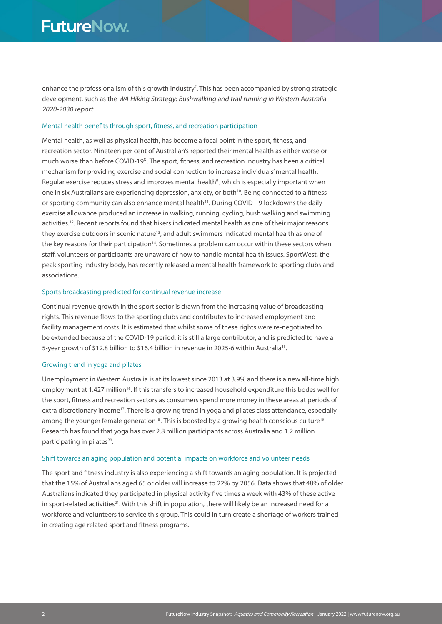enhance the professionalism of this growth industry<sup>7</sup>. This has been accompanied by strong strategic development, such as the WA Hiking Strategy: Bushwalking and trail running in Western Australia 2020-2030 report.

#### Mental health benefits through sport, fitness, and recreation participation

Mental health, as well as physical health, has become a focal point in the sport, fitness, and recreation sector. Nineteen per cent of Australian's reported their mental health as either worse or much worse than before COVID-19<sup>8</sup>. The sport, fitness, and recreation industry has been a critical mechanism for providing exercise and social connection to increase individuals' mental health. Regular exercise reduces stress and improves mental health<sup>9</sup>, which is especially important when one in six Australians are experiencing depression, anxiety, or both<sup>10</sup>. Being connected to a fitness or sporting community can also enhance mental health<sup>11</sup>. During COVID-19 lockdowns the daily exercise allowance produced an increase in walking, running, cycling, bush walking and swimming activities.12. Recent reports found that hikers indicated mental health as one of their major reasons they exercise outdoors in scenic nature<sup>13</sup>, and adult swimmers indicated mental health as one of the key reasons for their participation<sup>14</sup>. Sometimes a problem can occur within these sectors when staff, volunteers or participants are unaware of how to handle mental health issues. SportWest, the peak sporting industry body, has recently released a mental health framework to sporting clubs and associations.

#### Sports broadcasting predicted for continual revenue increase

Continual revenue growth in the sport sector is drawn from the increasing value of broadcasting rights. This revenue flows to the sporting clubs and contributes to increased employment and facility management costs. It is estimated that whilst some of these rights were re-negotiated to be extended because of the COVID-19 period, it is still a large contributor, and is predicted to have a 5-year growth of \$12.8 billion to \$16.4 billion in revenue in 2025-6 within Australia<sup>15</sup>.

#### Growing trend in yoga and pilates

Unemployment in Western Australia is at its lowest since 2013 at 3.9% and there is a new all-time high employment at 1.427 million<sup>16</sup>. If this transfers to increased household expenditure this bodes well for the sport, fitness and recreation sectors as consumers spend more money in these areas at periods of extra discretionary income<sup>17</sup>. There is a growing trend in yoga and pilates class attendance, especially among the younger female generation<sup>18</sup>. This is boosted by a growing health conscious culture<sup>19</sup>. Research has found that yoga has over 2.8 million participants across Australia and 1.2 million participating in pilates<sup>20</sup>.

#### Shift towards an aging population and potential impacts on workforce and volunteer needs

The sport and fitness industry is also experiencing a shift towards an aging population. It is projected that the 15% of Australians aged 65 or older will increase to 22% by 2056. Data shows that 48% of older Australians indicated they participated in physical activity five times a week with 43% of these active in sport-related activities<sup>21</sup>. With this shift in population, there will likely be an increased need for a workforce and volunteers to service this group. This could in turn create a shortage of workers trained in creating age related sport and fitness programs.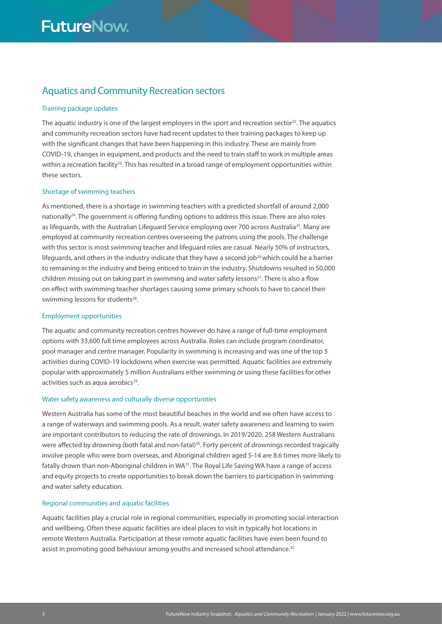# Aquatics and Community Recreation sectors

#### Training package updates

The aquatic industry is one of the largest employers in the sport and recreation sector<sup>22</sup>. The aquatics and community recreation sectors have had recent updates to their training packages to keep up with the significant changes that have been happening in this industry. These are mainly from COVID-19, changes in equipment, and products and the need to train staff to work in multiple areas within a recreation facility<sup>23</sup>. This has resulted in a broad range of employment opportunities within these sectors.

#### Shortage of swimming teachers

As mentioned, there is a shortage in swimming teachers with a predicted shortfall of around 2,000 nationally24. The government is offering funding options to address this issue. There are also roles as lifeguards, with the Australian Lifeguard Service employing over 700 across Australia<sup>25</sup>. Many are employed at community recreation centres overseeing the patrons using the pools. The challenge with this sector is most swimming teacher and lifeguard roles are casual. Nearly 50% of instructors, lifeguards, and others in the industry indicate that they have a second job<sup>26</sup> which could be a barrier to remaining in the industry and being enticed to train in the industry. Shutdowns resulted in 50,000 children missing out on taking part in swimming and water safety lessons<sup>27</sup>. There is also a flow on effect with swimming teacher shortages causing some primary schools to have to cancel their swimming lessons for students<sup>28</sup>.

#### Employment opportunities

The aquatic and community recreation centres however do have a range of full-time employment options with 33,600 full time employees across Australia. Roles can include program coordinator, pool manager and centre manager. Popularity in swimming is increasing and was one of the top 5 activities during COVID-19 lockdowns when exercise was permitted. Aquatic facilities are extremely popular with approximately 5 million Australians either swimming or using these facilities for other activities such as aqua aerobics $29$ .

#### Water safety awareness and culturally diverse opportunities

Western Australia has some of the most beautiful beaches in the world and we often have access to a range of waterways and swimming pools. As a result, water safety awareness and learning to swim are important contributors to reducing the rate of drownings. In 2019/2020, 258 Western Australians were affected by drowning (both fatal and non-fatal)<sup>30</sup>. Forty percent of drownings recorded tragically involve people who were born overseas, and Aboriginal children aged 5-14 are 8.6 times more likely to fatally drown than non-Aboriginal children in WA<sup>31</sup>. The Royal Life Saving WA have a range of access and equity projects to create opportunities to break down the barriers to participation in swimming and water safety education.

#### Regional communities and aquatic facilities

Aquatic facilities play a crucial role in regional communities, especially in promoting social interaction and wellbeing. Often these aquatic facilities are ideal places to visit in typically hot locations in remote Western Australia. Participation at these remote aquatic facilities have even been found to assist in promoting good behaviour among youths and increased school attendance.<sup>32</sup>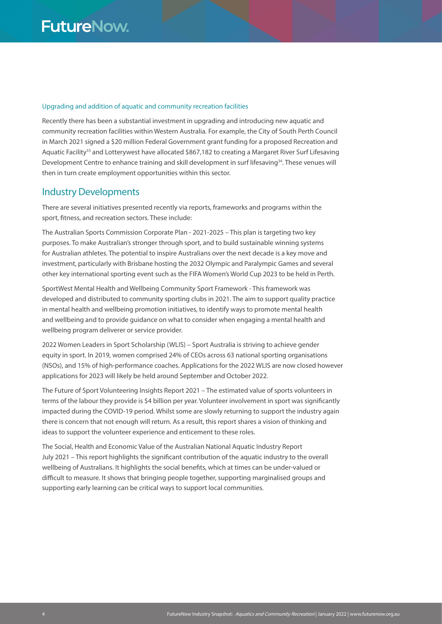#### Upgrading and addition of aquatic and community recreation facilities

Recently there has been a substantial investment in upgrading and introducing new aquatic and community recreation facilities within Western Australia. For example, the City of South Perth Council in March 2021 signed a \$20 million Federal Government grant funding for a proposed Recreation and Aquatic Facility<sup>33</sup> and Lotterywest have allocated \$867,182 to creating a Margaret River Surf Lifesaving Development Centre to enhance training and skill development in surf lifesaving<sup>34</sup>. These venues will then in turn create employment opportunities within this sector.

# Industry Developments

There are several initiatives presented recently via reports, frameworks and programs within the sport, fitness, and recreation sectors. These include:

The Australian Sports Commission Corporate Plan - 2021-2025 – This plan is targeting two key purposes. To make Australian's stronger through sport, and to build sustainable winning systems for Australian athletes. The potential to inspire Australians over the next decade is a key move and investment, particularly with Brisbane hosting the 2032 Olympic and Paralympic Games and several other key international sporting event such as the FIFA Women's World Cup 2023 to be held in Perth.

SportWest Mental Health and Wellbeing Community Sport Framework - This framework was developed and distributed to community sporting clubs in 2021. The aim to support quality practice in mental health and wellbeing promotion initiatives, to identify ways to promote mental health and wellbeing and to provide guidance on what to consider when engaging a mental health and wellbeing program deliverer or service provider.

2022 Women Leaders in Sport Scholarship (WLIS) – Sport Australia is striving to achieve gender equity in sport. In 2019, women comprised 24% of CEOs across 63 national sporting organisations (NSOs), and 15% of high-performance coaches. Applications for the 2022 WLIS are now closed however applications for 2023 will likely be held around September and October 2022.

The Future of Sport Volunteering Insights Report 2021 – The estimated value of sports volunteers in terms of the labour they provide is \$4 billion per year. Volunteer involvement in sport was significantly impacted during the COVID-19 period. Whilst some are slowly returning to support the industry again there is concern that not enough will return. As a result, this report shares a vision of thinking and ideas to support the volunteer experience and enticement to these roles.

The Social, Health and Economic Value of the Australian National Aquatic Industry Report July 2021 – This report highlights the significant contribution of the aquatic industry to the overall wellbeing of Australians. It highlights the social benefits, which at times can be under-valued or difficult to measure. It shows that bringing people together, supporting marginalised groups and supporting early learning can be critical ways to support local communities.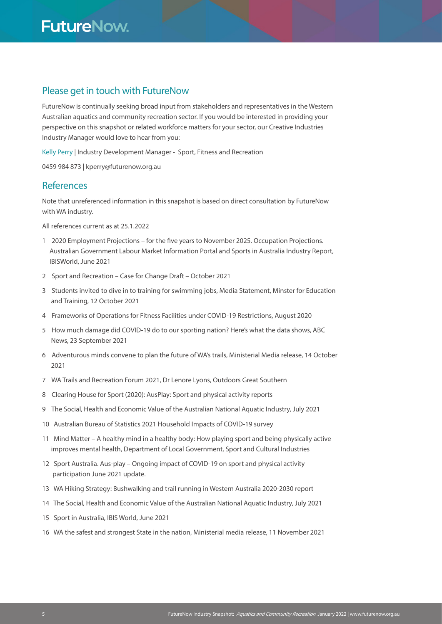# Please get in touch with FutureNow

FutureNow is continually seeking broad input from stakeholders and representatives in the Western Australian aquatics and community recreation sector. If you would be interested in providing your perspective on this snapshot or related workforce matters for your sector, our Creative Industries Industry Manager would love to hear from you:

Kelly Perry | Industry Development Manager - Sport, Fitness and Recreation

0459 984 873 | kperry@futurenow.org.au

### **References**

Note that unreferenced information in this snapshot is based on direct consultation by FutureNow with WA industry.

All references current as at 25.1.2022

- 1 2020 Employment Projections for the five years to November 2025. Occupation Projections. Australian Government Labour Market Information Portal and Sports in Australia Industry Report, IBISWorld, June 2021
- 2 Sport and Recreation Case for Change Draft October 2021
- 3 Students invited to dive in to training for swimming jobs, Media Statement, Minster for Education and Training, 12 October 2021
- 4 Frameworks of Operations for Fitness Facilities under COVID-19 Restrictions, August 2020
- 5 How much damage did COVID-19 do to our sporting nation? Here's what the data shows, ABC News, 23 September 2021
- 6 Adventurous minds convene to plan the future of WA's trails, Ministerial Media release, 14 October 2021
- 7 WA Trails and Recreation Forum 2021, Dr Lenore Lyons, Outdoors Great Southern
- 8 Clearing House for Sport (2020): AusPlay: Sport and physical activity reports
- 9 The Social, Health and Economic Value of the Australian National Aquatic Industry, July 2021
- 10 Australian Bureau of Statistics 2021 Household Impacts of COVID-19 survey
- 11 Mind Matter A healthy mind in a healthy body: How playing sport and being physically active improves mental health, Department of Local Government, Sport and Cultural Industries
- 12 Sport Australia. Aus-play Ongoing impact of COVID-19 on sport and physical activity participation June 2021 update.
- 13 WA Hiking Strategy: Bushwalking and trail running in Western Australia 2020-2030 report
- 14 The Social, Health and Economic Value of the Australian National Aquatic Industry, July 2021
- 15 Sport in Australia, IBIS World, June 2021
- 16 WA the safest and strongest State in the nation, Ministerial media release, 11 November 2021